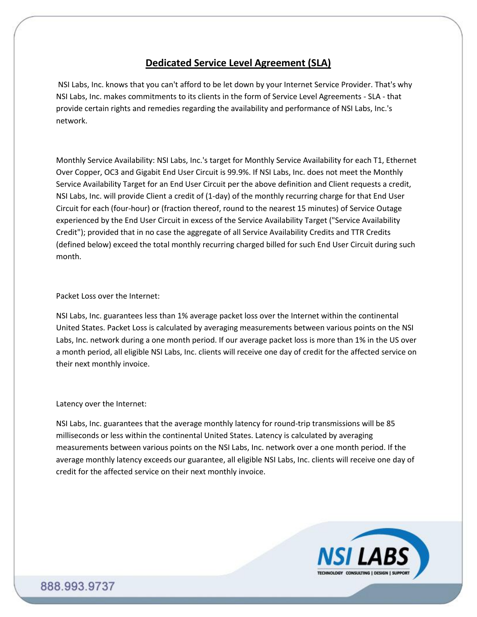# **Dedicated Service Level Agreement (SLA)**

NSI Labs, Inc. knows that you can't afford to be let down by your Internet Service Provider. That's why NSI Labs, Inc. makes commitments to its clients in the form of Service Level Agreements - SLA - that provide certain rights and remedies regarding the availability and performance of NSI Labs, Inc.'s network.

Monthly Service Availability: NSI Labs, Inc.'s target for Monthly Service Availability for each T1, Ethernet Over Copper, OC3 and Gigabit End User Circuit is 99.9%. If NSI Labs, Inc. does not meet the Monthly Service Availability Target for an End User Circuit per the above definition and Client requests a credit, NSI Labs, Inc. will provide Client a credit of (1-day) of the monthly recurring charge for that End User Circuit for each (four-hour) or (fraction thereof, round to the nearest 15 minutes) of Service Outage experienced by the End User Circuit in excess of the Service Availability Target ("Service Availability Credit"); provided that in no case the aggregate of all Service Availability Credits and TTR Credits (defined below) exceed the total monthly recurring charged billed for such End User Circuit during such month.

## Packet Loss over the Internet:

NSI Labs, Inc. guarantees less than 1% average packet loss over the Internet within the continental United States. Packet Loss is calculated by averaging measurements between various points on the NSI Labs, Inc. network during a one month period. If our average packet loss is more than 1% in the US over a month period, all eligible NSI Labs, Inc. clients will receive one day of credit for the affected service on their next monthly invoice.

## Latency over the Internet:

NSI Labs, Inc. guarantees that the average monthly latency for round-trip transmissions will be 85 milliseconds or less within the continental United States. Latency is calculated by averaging measurements between various points on the NSI Labs, Inc. network over a one month period. If the average monthly latency exceeds our guarantee, all eligible NSI Labs, Inc. clients will receive one day of credit for the affected service on their next monthly invoice.